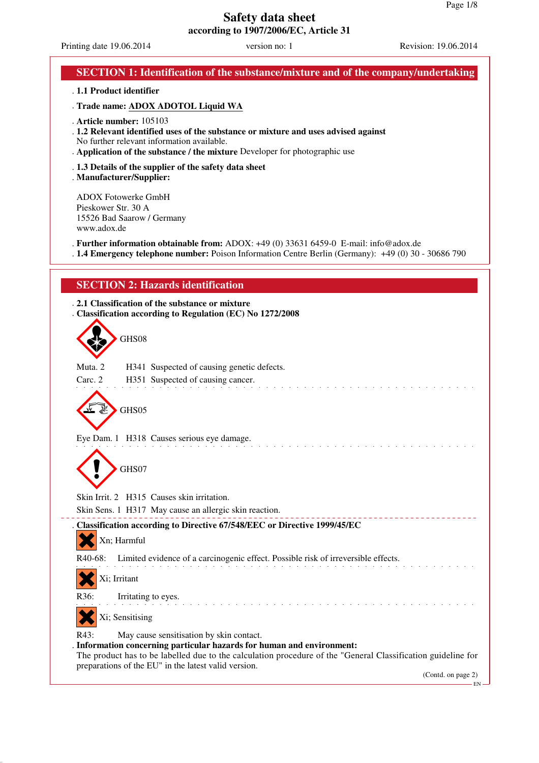Printing date 19.06.2014 version no: 1 Revision: 19.06.2014

| SECTION 1: Identification of the substance/mixture and of the company/undertaking                                                                                                                                                            |
|----------------------------------------------------------------------------------------------------------------------------------------------------------------------------------------------------------------------------------------------|
| . 1.1 Product identifier                                                                                                                                                                                                                     |
| . Trade name: ADOX ADOTOL Liquid WA                                                                                                                                                                                                          |
| . Article number: 105103<br>. 1.2 Relevant identified uses of the substance or mixture and uses advised against<br>No further relevant information available.<br>. Application of the substance / the mixture Developer for photographic use |
| . 1.3 Details of the supplier of the safety data sheet<br>. Manufacturer/Supplier:                                                                                                                                                           |
| <b>ADOX Fotowerke GmbH</b><br>Pieskower Str. 30 A<br>15526 Bad Saarow / Germany<br>www.adox.de                                                                                                                                               |
| . Further information obtainable from: ADOX: +49 (0) 33631 6459-0 E-mail: info@adox.de<br>. 1.4 Emergency telephone number: Poison Information Centre Berlin (Germany): +49 (0) 30 - 30686 790                                               |
| <b>SECTION 2: Hazards identification</b>                                                                                                                                                                                                     |
| . 2.1 Classification of the substance or mixture<br>Classification according to Regulation (EC) No 1272/2008                                                                                                                                 |
| GHS08                                                                                                                                                                                                                                        |
| Muta <sub>2</sub><br>H341 Suspected of causing genetic defects.                                                                                                                                                                              |
| H351 Suspected of causing cancer.<br>Carc. 2                                                                                                                                                                                                 |
| GHS05                                                                                                                                                                                                                                        |
| Eye Dam. 1 H318 Causes serious eye damage.                                                                                                                                                                                                   |
| GHS07                                                                                                                                                                                                                                        |
| Skin Irrit. 2 H315 Causes skin irritation.                                                                                                                                                                                                   |
| Skin Sens. 1 H317 May cause an allergic skin reaction.                                                                                                                                                                                       |
| . Classification according to Directive 67/548/EEC or Directive 1999/45/EC<br>Xn; Harmful                                                                                                                                                    |
| Limited evidence of a carcinogenic effect. Possible risk of irreversible effects.<br>R <sub>40</sub> -68:                                                                                                                                    |
| Xi; Irritant                                                                                                                                                                                                                                 |
| R36:<br>Irritating to eyes.                                                                                                                                                                                                                  |
| Xi; Sensitising                                                                                                                                                                                                                              |
| R43:<br>May cause sensitisation by skin contact.                                                                                                                                                                                             |
| Information concerning particular hazards for human and environment:<br>The product has to be labelled due to the calculation procedure of the "General Classification guideline for                                                         |
| preparations of the EU" in the latest valid version.<br>(Contd. on page 2)                                                                                                                                                                   |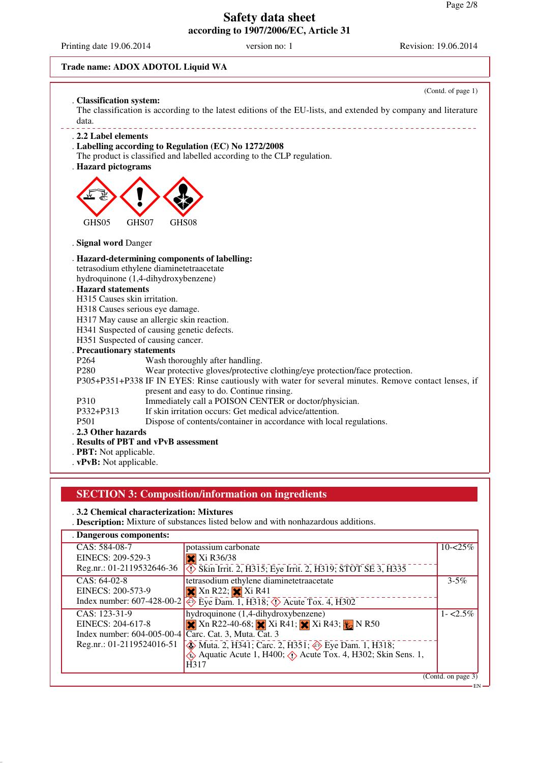Printing date 19.06.2014 version no: 1 Revision: 19.06.2014

## **Trade name: ADOX ADOTOL Liquid WA**

|                              | (Contd. of page 1)                                                                                             |
|------------------------------|----------------------------------------------------------------------------------------------------------------|
| . Classification system:     | The classification is according to the latest editions of the EU-lists, and extended by company and literature |
| data.                        |                                                                                                                |
| . 2.2 Label elements         |                                                                                                                |
|                              | Labelling according to Regulation (EC) No 1272/2008                                                            |
|                              | The product is classified and labelled according to the CLP regulation.                                        |
| . Hazard pictograms          |                                                                                                                |
| GHS05                        | GHS07<br>GHS08                                                                                                 |
|                              |                                                                                                                |
| . Signal word Danger         |                                                                                                                |
|                              | . Hazard-determining components of labelling:                                                                  |
|                              | tetrasodium ethylene diaminetetraacetate                                                                       |
|                              | hydroquinone (1,4-dihydroxybenzene)                                                                            |
| <b>Hazard statements</b>     |                                                                                                                |
| H315 Causes skin irritation. |                                                                                                                |
|                              | H318 Causes serious eye damage.                                                                                |
|                              | H317 May cause an allergic skin reaction.                                                                      |
|                              | H341 Suspected of causing genetic defects.                                                                     |
|                              | H351 Suspected of causing cancer.                                                                              |
| . Precautionary statements   |                                                                                                                |
| P <sub>264</sub>             | Wash thoroughly after handling.                                                                                |
| P <sub>280</sub>             | Wear protective gloves/protective clothing/eye protection/face protection.                                     |
|                              | P305+P351+P338 IF IN EYES: Rinse cautiously with water for several minutes. Remove contact lenses, if          |
|                              | present and easy to do. Continue rinsing.                                                                      |
| P310                         | Immediately call a POISON CENTER or doctor/physician.                                                          |
| P332+P313                    | If skin irritation occurs: Get medical advice/attention.                                                       |
| P <sub>501</sub>             | Dispose of contents/container in accordance with local regulations.                                            |
| . 2.3 Other hazards          |                                                                                                                |
|                              | . Results of PBT and vPvB assessment                                                                           |
| . PBT: Not applicable.       |                                                                                                                |
|                              |                                                                                                                |

. **vPvB:** Not applicable.

# **SECTION 3: Composition/information on ingredients**

## . **3.2 Chemical characterization: Mixtures**

. **Description:** Mixture of substances listed below and with nonhazardous additions.

| . Dangerous components:      |                                                                                              |                    |
|------------------------------|----------------------------------------------------------------------------------------------|--------------------|
| CAS: 584-08-7                | potassium carbonate                                                                          | $10 - 25\%$        |
| EINECS: 209-529-3            | $\overline{\mathbf{X}}$ Xi R36/38                                                            |                    |
| Reg.nr.: $01-2119532646-36$  | Skin Irrit. 2, H315; Eye Irrit. 2, H319; STOT SE 3, H335                                     |                    |
| $CAS: 64-02-8$               | tetrasodium ethylene diaminetetraacetate                                                     | $3 - 5\%$          |
| EINECS: 200-573-9            | $\mathbf{\times}$ Xn R22; $\mathbf{\times}$ Xi R41                                           |                    |
| Index number: $607-428-00-2$ | $\overline{\Leftrightarrow}$ Eye Dam. 1, H318; $\Leftrightarrow$ Acute Tox. 4, H302          |                    |
| CAS: 123-31-9                | hydroquinone (1,4-dihydroxybenzene)                                                          | $1 - 2.5\%$        |
| EINECS: 204-617-8            | <b>X</b> Xn R22-40-68; Xi R41; Xi R43; Xi R43; Xi R50                                        |                    |
| Index number: $604-005-00-4$ | $\overline{Carc}$ . Cat. 3, Muta. $\overline{Cat}$ . 3                                       |                    |
| Reg.nr.: 01-2119524016-51    | Muta. 2, H341; Carc. 2, H351; Seye Dam. 1, H318;                                             |                    |
|                              | $\leftrightarrow$ Aquatic Acute 1, H400; $\leftrightarrow$ Acute Tox. 4, H302; Skin Sens. 1, |                    |
|                              | H317                                                                                         |                    |
|                              |                                                                                              | (Contd. on page 3) |
|                              |                                                                                              |                    |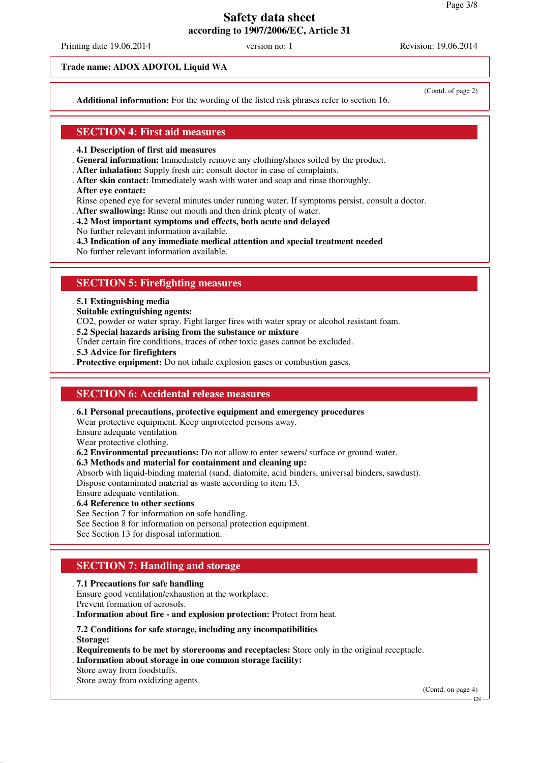Printing date 19.06.2014 version no: 1 Revision: 19.06.2014

**Trade name: ADOX ADOTOL Liquid WA**

. **Additional information:** For the wording of the listed risk phrases refer to section 16.

(Contd. of page 2)

## **SECTION 4: First aid measures**

- . **4.1 Description of first aid measures**
- . **General information:** Immediately remove any clothing/shoes soiled by the product.
- . **After inhalation:** Supply fresh air; consult doctor in case of complaints.
- . **After skin contact:** Immediately wash with water and soap and rinse thoroughly.
- . **After eye contact:**
- Rinse opened eye for several minutes under running water. If symptoms persist, consult a doctor.
- . **After swallowing:** Rinse out mouth and then drink plenty of water.
- . **4.2 Most important symptoms and effects, both acute and delayed**
- No further relevant information available.
- . **4.3 Indication of any immediate medical attention and special treatment needed**
- No further relevant information available.

## **SECTION 5: Firefighting measures**

- . **5.1 Extinguishing media**
- . **Suitable extinguishing agents:**
- CO2, powder or water spray. Fight larger fires with water spray or alcohol resistant foam.
- . **5.2 Special hazards arising from the substance or mixture**
- Under certain fire conditions, traces of other toxic gases cannot be excluded.
- . **5.3 Advice for firefighters**
- . **Protective equipment:** Do not inhale explosion gases or combustion gases.

## **SECTION 6: Accidental release measures**

. **6.1 Personal precautions, protective equipment and emergency procedures**

Wear protective equipment. Keep unprotected persons away.

Ensure adequate ventilation

Wear protective clothing.

. **6.2 Environmental precautions:** Do not allow to enter sewers/ surface or ground water.

. **6.3 Methods and material for containment and cleaning up:**

Absorb with liquid-binding material (sand, diatomite, acid binders, universal binders, sawdust).

Dispose contaminated material as waste according to item 13.

Ensure adequate ventilation.

- . **6.4 Reference to other sections**
- See Section 7 for information on safe handling.
- See Section 8 for information on personal protection equipment.

See Section 13 for disposal information.

# **SECTION 7: Handling and storage**

#### . **7.1 Precautions for safe handling**

Ensure good ventilation/exhaustion at the workplace.

Prevent formation of aerosols.

. **Information about fire - and explosion protection:** Protect from heat.

#### . **7.2 Conditions for safe storage, including any incompatibilities**

. **Storage:**

- . **Requirements to be met by storerooms and receptacles:** Store only in the original receptacle.
- . **Information about storage in one common storage facility:**
- Store away from foodstuffs.

Store away from oxidizing agents.

(Contd. on page 4)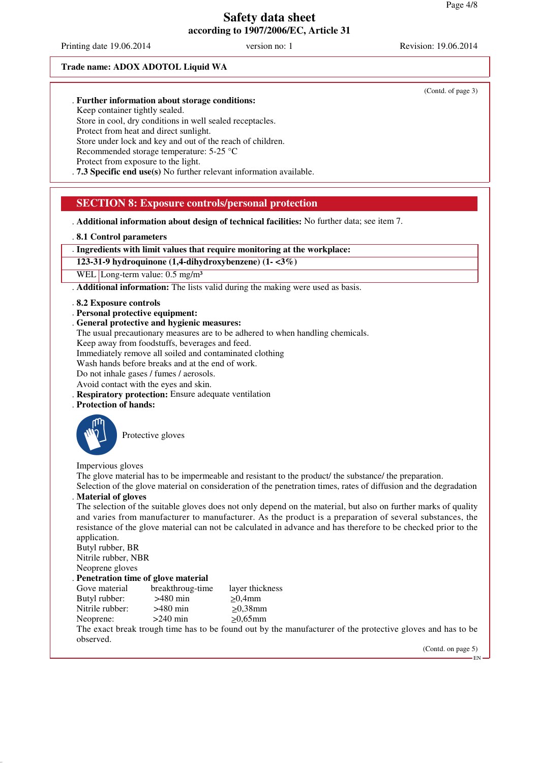Printing date 19.06.2014 version no: 1 Revision: 19.06.2014

#### **Trade name: ADOX ADOTOL Liquid WA**

#### . **Further information about storage conditions:**

Keep container tightly sealed.

Store in cool, dry conditions in well sealed receptacles. Protect from heat and direct sunlight.

Store under lock and key and out of the reach of children.

Recommended storage temperature: 5-25 °C

Protect from exposure to the light.

. **7.3 Specific end use(s)** No further relevant information available.

## **SECTION 8: Exposure controls/personal protection**

. **Additional information about design of technical facilities:** No further data; see item 7.

. **8.1 Control parameters**

. **Ingredients with limit values that require monitoring at the workplace:**

**123-31-9 hydroquinone (1,4-dihydroxybenzene) (1- <3%)**

WEL Long-term value: 0.5 mg/m<sup>3</sup>

. **Additional information:** The lists valid during the making were used as basis.

- . **8.2 Exposure controls**
- . **Personal protective equipment:**
- . **General protective and hygienic measures:**
- The usual precautionary measures are to be adhered to when handling chemicals.

Keep away from foodstuffs, beverages and feed.

Immediately remove all soiled and contaminated clothing

Wash hands before breaks and at the end of work.

Do not inhale gases / fumes / aerosols.

Avoid contact with the eyes and skin.

- . **Respiratory protection:** Ensure adequate ventilation
- . **Protection of hands:**



Protective gloves

Impervious gloves

The glove material has to be impermeable and resistant to the product/ the substance/ the preparation.

Selection of the glove material on consideration of the penetration times, rates of diffusion and the degradation . **Material of gloves**

The selection of the suitable gloves does not only depend on the material, but also on further marks of quality and varies from manufacturer to manufacturer. As the product is a preparation of several substances, the resistance of the glove material can not be calculated in advance and has therefore to be checked prior to the application.

Butyl rubber, BR

Nitrile rubber, NBR Neoprene gloves

#### . **Penetration time of glove material**

| breakthroug-time | layer thickness |
|------------------|-----------------|
| $>480$ min       | $>0.4$ mm       |
| $>480$ min       | $>0.38$ mm      |
| $>240$ min       | $>0.65$ mm      |
|                  |                 |

The exact break trough time has to be found out by the manufacturer of the protective gloves and has to be observed.

(Contd. on page 5)

EN

(Contd. of page 3)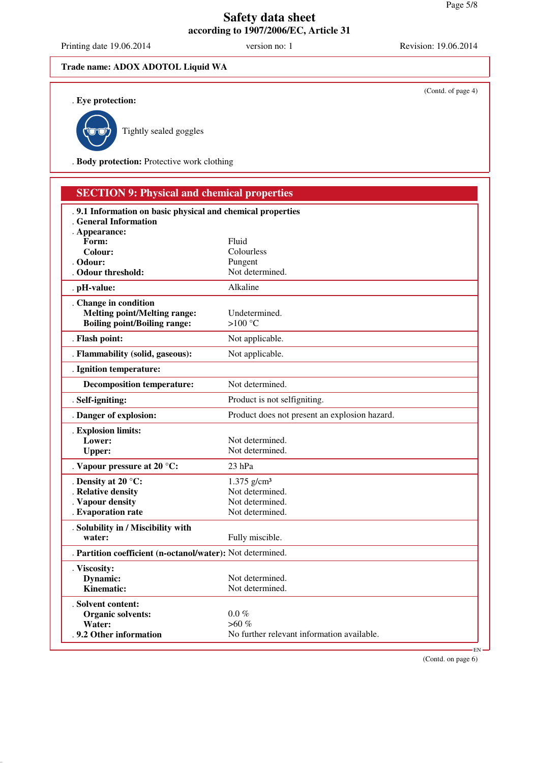Printing date 19.06.2014 version no: 1 Revision: 19.06.2014

(Contd. of page 4)

## **Trade name: ADOX ADOTOL Liquid WA**

. **Eye protection:**



Tightly sealed goggles

. **Body protection:** Protective work clothing

| <b>SECTION 9: Physical and chemical properties</b>          |                                               |    |
|-------------------------------------------------------------|-----------------------------------------------|----|
| . 9.1 Information on basic physical and chemical properties |                                               |    |
| <b>General Information</b>                                  |                                               |    |
| . Appearance:<br>Form:                                      | Fluid                                         |    |
| Colour:                                                     | Colourless                                    |    |
| . Odour:                                                    | Pungent                                       |    |
| . Odour threshold:                                          | Not determined.                               |    |
| . pH-value:                                                 | Alkaline                                      |    |
| . Change in condition                                       |                                               |    |
| <b>Melting point/Melting range:</b>                         | Undetermined.                                 |    |
| <b>Boiling point/Boiling range:</b>                         | $>100^{\circ}$ C                              |    |
| . Flash point:                                              | Not applicable.                               |    |
| . Flammability (solid, gaseous):                            | Not applicable.                               |    |
| . Ignition temperature:                                     |                                               |    |
| <b>Decomposition temperature:</b>                           | Not determined.                               |    |
| . Self-igniting:                                            | Product is not selfigniting.                  |    |
| . Danger of explosion:                                      | Product does not present an explosion hazard. |    |
| . Explosion limits:                                         |                                               |    |
| Lower:                                                      | Not determined.                               |    |
| <b>Upper:</b>                                               | Not determined.                               |    |
| . Vapour pressure at 20 °C:                                 | $23$ hPa                                      |    |
| . Density at 20 $\degree$ C:                                | $1.375$ g/cm <sup>3</sup>                     |    |
| . Relative density                                          | Not determined.                               |    |
| . Vapour density                                            | Not determined.                               |    |
| . Evaporation rate                                          | Not determined.                               |    |
| . Solubility in / Miscibility with                          |                                               |    |
| water:                                                      | Fully miscible.                               |    |
| . Partition coefficient (n-octanol/water): Not determined.  |                                               |    |
| . Viscosity:                                                |                                               |    |
| Dynamic:                                                    | Not determined.                               |    |
| Kinematic:                                                  | Not determined.                               |    |
| . Solvent content:                                          |                                               |    |
| <b>Organic solvents:</b>                                    | $0.0\%$                                       |    |
| Water:                                                      | $>60\%$                                       |    |
| . 9.2 Other information                                     | No further relevant information available.    |    |
|                                                             |                                               | EN |

(Contd. on page 6)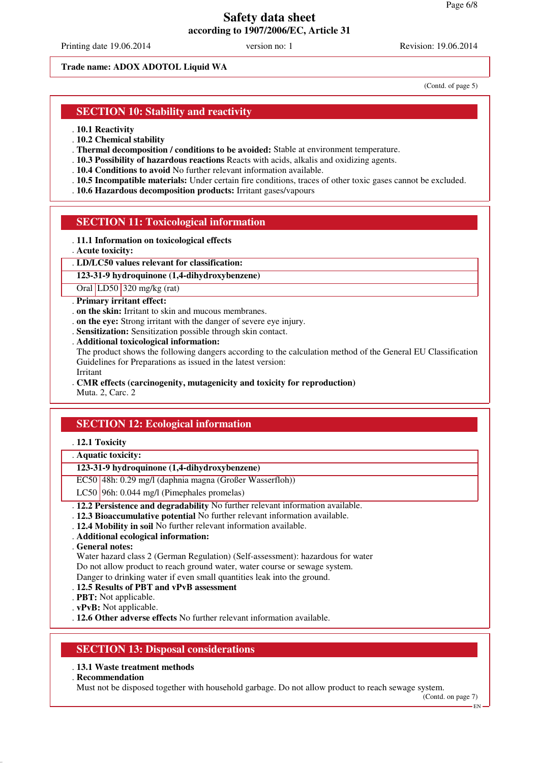Printing date 19.06.2014 version no: 1 Revision: 19.06.2014

#### **Trade name: ADOX ADOTOL Liquid WA**

(Contd. of page 5)

## **SECTION 10: Stability and reactivity**

. **10.1 Reactivity**

- . **10.2 Chemical stability**
- . **Thermal decomposition / conditions to be avoided:** Stable at environment temperature.
- . **10.3 Possibility of hazardous reactions** Reacts with acids, alkalis and oxidizing agents.
- . **10.4 Conditions to avoid** No further relevant information available.
- . **10.5 Incompatible materials:** Under certain fire conditions, traces of other toxic gases cannot be excluded.
- . **10.6 Hazardous decomposition products:** Irritant gases/vapours

## **SECTION 11: Toxicological information**

- . **11.1 Information on toxicological effects**
- . **Acute toxicity:**
- . **LD/LC50 values relevant for classification:**

## **123-31-9 hydroquinone (1,4-dihydroxybenzene)**

Oral LD50 320 mg/kg (rat)

- . **Primary irritant effect:**
- . **on the skin:** Irritant to skin and mucous membranes.
- . **on the eye:** Strong irritant with the danger of severe eye injury.
- . **Sensitization:** Sensitization possible through skin contact.
- . **Additional toxicological information:**
- The product shows the following dangers according to the calculation method of the General EU Classification Guidelines for Preparations as issued in the latest version:
- Irritant
- . **CMR effects (carcinogenity, mutagenicity and toxicity for reproduction)**

Muta. 2, Carc. 2

## **SECTION 12: Ecological information**

#### . **12.1 Toxicity**

. **Aquatic toxicity:**

#### **123-31-9 hydroquinone (1,4-dihydroxybenzene)**

- EC50 48h: 0.29 mg/l (daphnia magna (Großer Wasserfloh))
- LC50 96h: 0.044 mg/l (Pimephales promelas)
- . **12.2 Persistence and degradability** No further relevant information available.
- . **12.3 Bioaccumulative potential** No further relevant information available.
- . **12.4 Mobility in soil** No further relevant information available.
- . **Additional ecological information:**

. **General notes:**

Water hazard class 2 (German Regulation) (Self-assessment): hazardous for water

Do not allow product to reach ground water, water course or sewage system.

Danger to drinking water if even small quantities leak into the ground.

- . **12.5 Results of PBT and vPvB assessment**
- . **PBT:** Not applicable.
- . **vPvB:** Not applicable.

. **12.6 Other adverse effects** No further relevant information available.

## **SECTION 13: Disposal considerations**

## . **13.1 Waste treatment methods**

. **Recommendation**

Must not be disposed together with household garbage. Do not allow product to reach sewage system.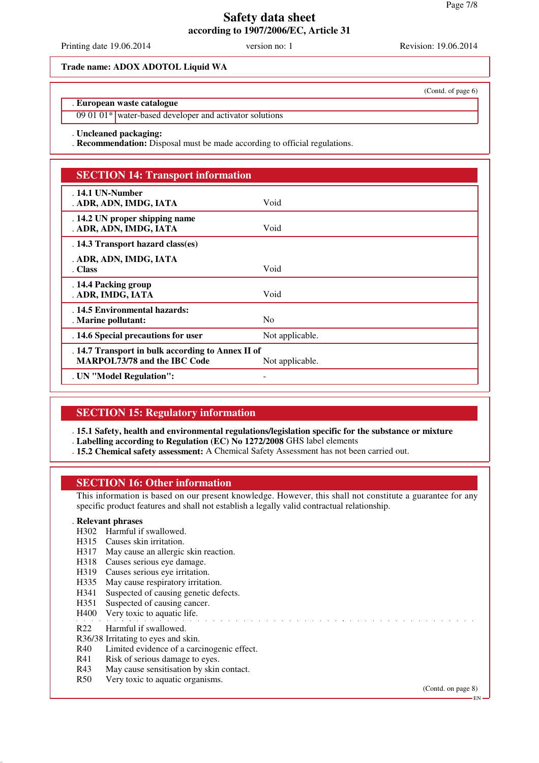Printing date 19.06.2014 version no: 1 Revision: 19.06.2014

#### **Trade name: ADOX ADOTOL Liquid WA**

#### . **European waste catalogue**

09 01 01\* water-based developer and activator solutions

#### . **Uncleaned packaging:**

. **Recommendation:** Disposal must be made according to official regulations.

## **SECTION 14: Transport information**

| $.14.1$ UN-Number<br>. ADR, ADN, IMDG, IATA                                              | Void            |
|------------------------------------------------------------------------------------------|-----------------|
| . 14.2 UN proper shipping name<br>. ADR, ADN, IMDG, IATA                                 | Void            |
| . 14.3 Transport hazard class(es)                                                        |                 |
|                                                                                          |                 |
| . ADR, ADN, IMDG, IATA                                                                   |                 |
| . Class                                                                                  | Void            |
| . 14.4 Packing group<br>. ADR, IMDG, IATA                                                | Void            |
| . 14.5 Environmental hazards:                                                            |                 |
| . Marine pollutant:                                                                      | N <sub>0</sub>  |
| . 14.6 Special precautions for user                                                      | Not applicable. |
| . 14.7 Transport in bulk according to Annex II of<br><b>MARPOL73/78 and the IBC Code</b> | Not applicable. |
| . UN "Model Regulation":                                                                 |                 |

## **SECTION 15: Regulatory information**

. **15.1 Safety, health and environmental regulations/legislation specific for the substance or mixture**

- . **Labelling according to Regulation (EC) No 1272/2008** GHS label elements
- . **15.2 Chemical safety assessment:** A Chemical Safety Assessment has not been carried out.

## **SECTION 16: Other information**

This information is based on our present knowledge. However, this shall not constitute a guarantee for any specific product features and shall not establish a legally valid contractual relationship.

## . **Relevant phrases**

- H302 Harmful if swallowed.
- H315 Causes skin irritation.
- H317 May cause an allergic skin reaction.
- H318 Causes serious eye damage.
- H319 Causes serious eye irritation.
- H335 May cause respiratory irritation.
- H341 Suspected of causing genetic defects.
- H351 Suspected of causing cancer.
- H400 Very toxic to aquatic life.

#### R22 Harmful if swallowed.

- R36/38 Irritating to eyes and skin.
- R40 Limited evidence of a carcinogenic effect.
- R41 Risk of serious damage to eyes.
- R43 May cause sensitisation by skin contact.
- R50 Very toxic to aquatic organisms.

(Contd. on page 8)

(Contd. of page 6)